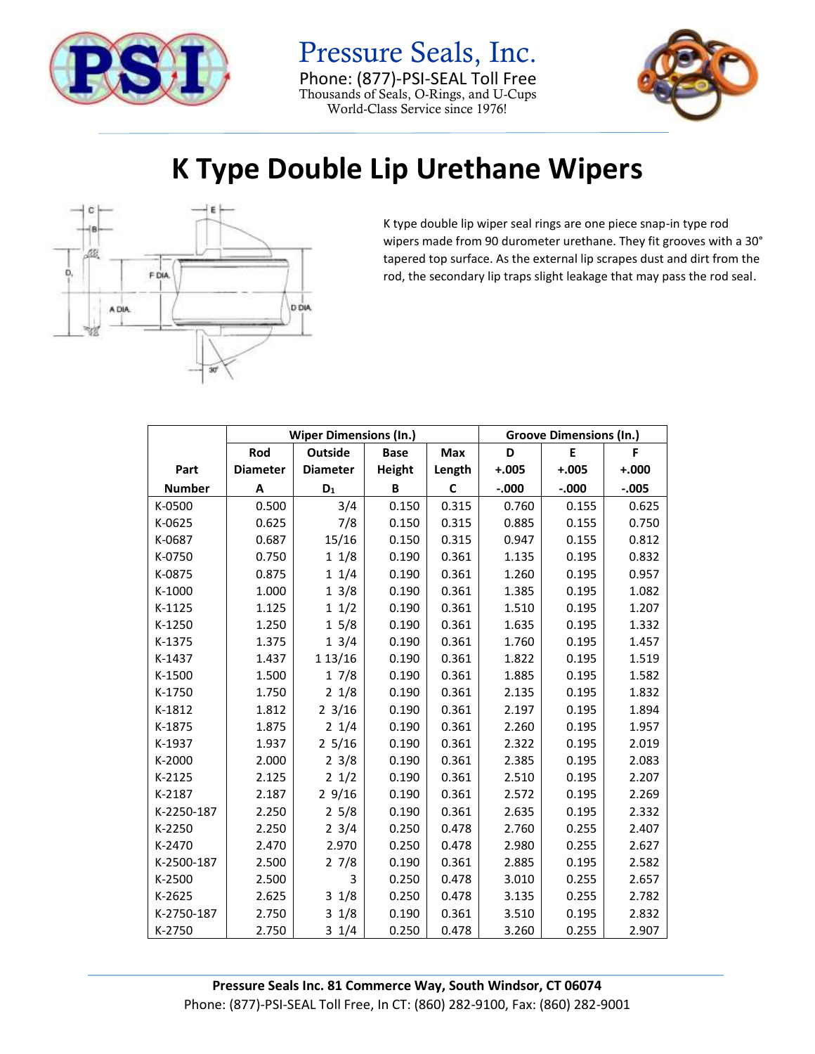

Pressure Seals, Inc. Phone: (877)-PSI-SEAL Toll Free Thousands of Seals, O-Rings, and U-Cups World-Class Service since 1976!



## **K Type Double Lip Urethane Wipers**



K type double lip wiper seal rings are one piece snap-in type rod wipers made from 90 durometer urethane. They fit grooves with a 30° tapered top surface. As the external lip scrapes dust and dirt from the rod, the secondary lip traps slight leakage that may pass the rod seal.

|               |                 | <b>Wiper Dimensions (In.)</b> |             | <b>Groove Dimensions (In.)</b> |         |          |          |
|---------------|-----------------|-------------------------------|-------------|--------------------------------|---------|----------|----------|
|               | Rod             | <b>Outside</b>                | <b>Base</b> | Max                            | D       | E        | F        |
| Part          | <b>Diameter</b> | <b>Diameter</b>               | Height      | Length                         | $+.005$ | $+.005$  | $+.000$  |
| <b>Number</b> | A               | $\mathsf{D}_1$                | B           | C                              | $-.000$ | $-0.000$ | $-0.005$ |
| K-0500        | 0.500           | 3/4                           | 0.150       | 0.315                          | 0.760   | 0.155    | 0.625    |
| K-0625        | 0.625           | 7/8                           | 0.150       | 0.315                          | 0.885   | 0.155    | 0.750    |
| K-0687        | 0.687           | 15/16                         | 0.150       | 0.315                          | 0.947   | 0.155    | 0.812    |
| K-0750        | 0.750           | 11/8                          | 0.190       | 0.361                          | 1.135   | 0.195    | 0.832    |
| K-0875        | 0.875           | 11/4                          | 0.190       | 0.361                          | 1.260   | 0.195    | 0.957    |
| K-1000        | 1.000           | $1 \frac{3}{8}$               | 0.190       | 0.361                          | 1.385   | 0.195    | 1.082    |
| K-1125        | 1.125           | $1 \frac{1}{2}$               | 0.190       | 0.361                          | 1.510   | 0.195    | 1.207    |
| K-1250        | 1.250           | 15/8                          | 0.190       | 0.361                          | 1.635   | 0.195    | 1.332    |
| K-1375        | 1.375           | $1 \frac{3}{4}$               | 0.190       | 0.361                          | 1.760   | 0.195    | 1.457    |
| K-1437        | 1.437           | 1 13/16                       | 0.190       | 0.361                          | 1.822   | 0.195    | 1.519    |
| K-1500        | 1.500           | 17/8                          | 0.190       | 0.361                          | 1.885   | 0.195    | 1.582    |
| K-1750        | 1.750           | $2 \frac{1}{8}$               | 0.190       | 0.361                          | 2.135   | 0.195    | 1.832    |
| K-1812        | 1.812           | $2 \frac{3}{16}$              | 0.190       | 0.361                          | 2.197   | 0.195    | 1.894    |
| K-1875        | 1.875           | $2 \frac{1}{4}$               | 0.190       | 0.361                          | 2.260   | 0.195    | 1.957    |
| K-1937        | 1.937           | $2\frac{5}{16}$               | 0.190       | 0.361                          | 2.322   | 0.195    | 2.019    |
| K-2000        | 2.000           | $2 \frac{3}{8}$               | 0.190       | 0.361                          | 2.385   | 0.195    | 2.083    |
| K-2125        | 2.125           | $2 \frac{1}{2}$               | 0.190       | 0.361                          | 2.510   | 0.195    | 2.207    |
| K-2187        | 2.187           | 29/16                         | 0.190       | 0.361                          | 2.572   | 0.195    | 2.269    |
| K-2250-187    | 2.250           | 25/8                          | 0.190       | 0.361                          | 2.635   | 0.195    | 2.332    |
| K-2250        | 2.250           | $2 \frac{3}{4}$               | 0.250       | 0.478                          | 2.760   | 0.255    | 2.407    |
| K-2470        | 2.470           | 2.970                         | 0.250       | 0.478                          | 2.980   | 0.255    | 2.627    |
| K-2500-187    | 2.500           | 27/8                          | 0.190       | 0.361                          | 2.885   | 0.195    | 2.582    |
| K-2500        | 2.500           | 3                             | 0.250       | 0.478                          | 3.010   | 0.255    | 2.657    |
| K-2625        | 2.625           | 31/8                          | 0.250       | 0.478                          | 3.135   | 0.255    | 2.782    |
| K-2750-187    | 2.750           | $3 \frac{1}{8}$               | 0.190       | 0.361                          | 3.510   | 0.195    | 2.832    |
| K-2750        | 2.750           | $3 \frac{1}{4}$               | 0.250       | 0.478                          | 3.260   | 0.255    | 2.907    |